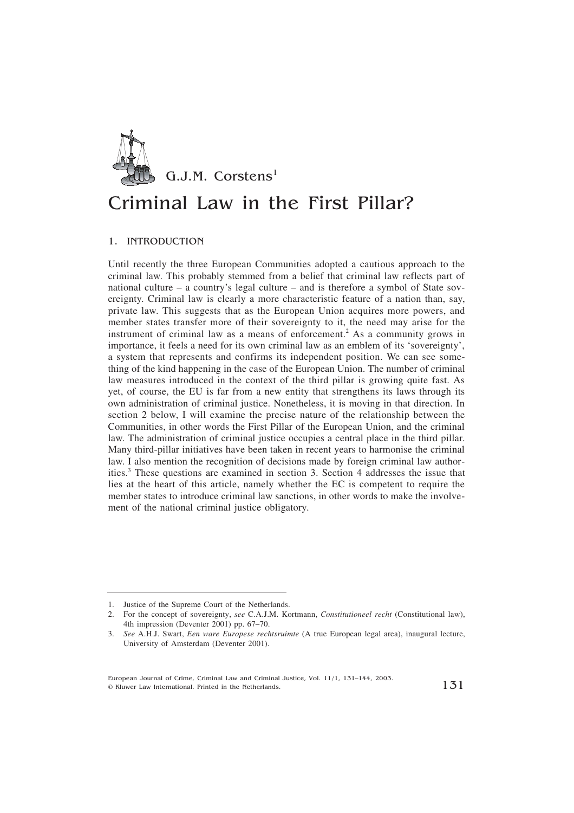

## Criminal Law in the First Pillar?

## 1. INTRODUCTION

Until recently the three European Communities adopted a cautious approach to the criminal law. This probably stemmed from a belief that criminal law reflects part of national culture – a country's legal culture – and is therefore a symbol of State sovereignty. Criminal law is clearly a more characteristic feature of a nation than, say, private law. This suggests that as the European Union acquires more powers, and member states transfer more of their sovereignty to it, the need may arise for the instrument of criminal law as a means of enforcement.2 As a community grows in importance, it feels a need for its own criminal law as an emblem of its 'sovereignty', a system that represents and confirms its independent position. We can see something of the kind happening in the case of the European Union. The number of criminal law measures introduced in the context of the third pillar is growing quite fast. As yet, of course, the EU is far from a new entity that strengthens its laws through its own administration of criminal justice. Nonetheless, it is moving in that direction. In section 2 below, I will examine the precise nature of the relationship between the Communities, in other words the First Pillar of the European Union, and the criminal law. The administration of criminal justice occupies a central place in the third pillar. Many third-pillar initiatives have been taken in recent years to harmonise the criminal law. I also mention the recognition of decisions made by foreign criminal law authorities.3 These questions are examined in section 3. Section 4 addresses the issue that lies at the heart of this article, namely whether the EC is competent to require the member states to introduce criminal law sanctions, in other words to make the involvement of the national criminal justice obligatory.

<sup>1.</sup> Justice of the Supreme Court of the Netherlands.

<sup>2.</sup> For the concept of sovereignty, *see* C.A.J.M. Kortmann, *Constitutioneel recht* (Constitutional law), 4th impression (Deventer 2001) pp. 67–70.

<sup>3.</sup> *See* A.H.J. Swart, *Een ware Europese rechtsruimte* (A true European legal area), inaugural lecture, University of Amsterdam (Deventer 2001).

European Journal of Crime, Criminal Law and Criminal Justice, Vol. 11/1, 131–144, 2003.  $\frac{1}{\sqrt{3}}$  Continuer Law International. Printed in the Netherlands. 131